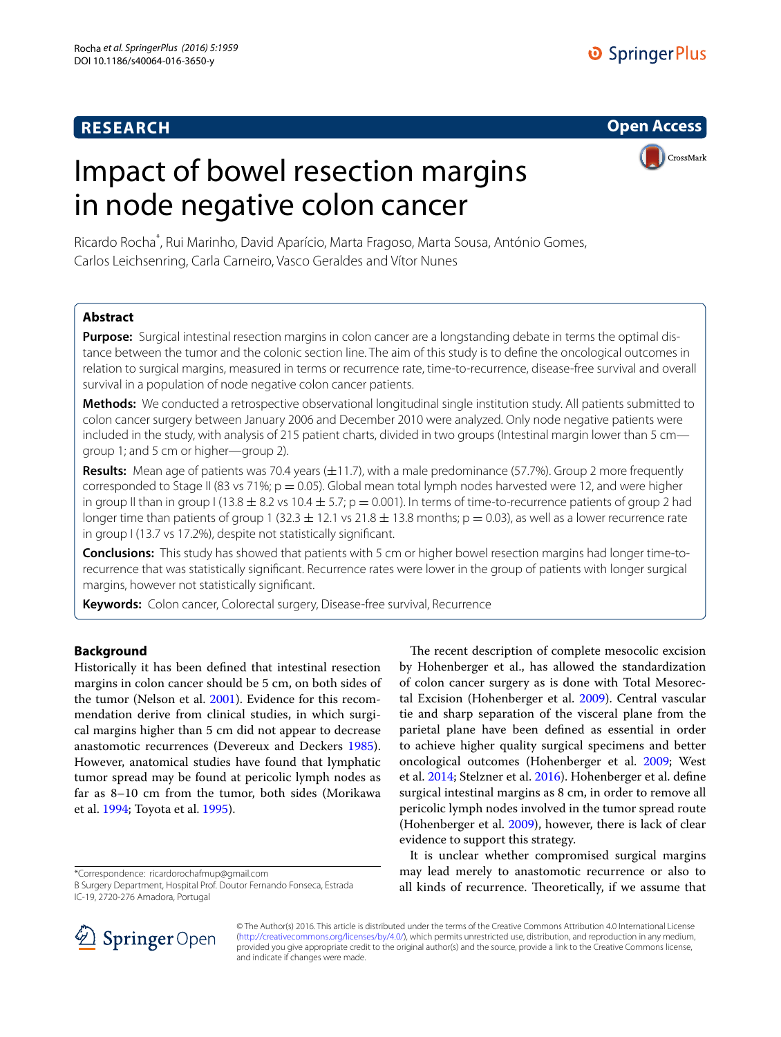# **RESEARCH**

**Open Access**

# Impact of bowel resection margins in node negative colon cancer



Ricardo Rocha\* , Rui Marinho, David Aparício, Marta Fragoso, Marta Sousa, António Gomes, Carlos Leichsenring, Carla Carneiro, Vasco Geraldes and Vítor Nunes

## **Abstract**

**Purpose:** Surgical intestinal resection margins in colon cancer are a longstanding debate in terms the optimal distance between the tumor and the colonic section line. The aim of this study is to define the oncological outcomes in relation to surgical margins, measured in terms or recurrence rate, time-to-recurrence, disease-free survival and overall survival in a population of node negative colon cancer patients.

**Methods:** We conducted a retrospective observational longitudinal single institution study. All patients submitted to colon cancer surgery between January 2006 and December 2010 were analyzed. Only node negative patients were included in the study, with analysis of 215 patient charts, divided in two groups (Intestinal margin lower than 5 cm group 1; and 5 cm or higher—group 2).

**Results:** Mean age of patients was 70.4 years (±11.7), with a male predominance (57.7%). Group 2 more frequently corresponded to Stage II (83 vs 71%;  $p = 0.05$ ). Global mean total lymph nodes harvested were 12, and were higher in group II than in group I (13.8  $\pm$  8.2 vs 10.4  $\pm$  5.7; p = 0.001). In terms of time-to-recurrence patients of group 2 had longer time than patients of group 1 (32.3  $\pm$  12.1 vs 21.8  $\pm$  13.8 months; p = 0.03), as well as a lower recurrence rate in group I (13.7 vs 17.2%), despite not statistically significant.

**Conclusions:** This study has showed that patients with 5 cm or higher bowel resection margins had longer time-torecurrence that was statistically significant. Recurrence rates were lower in the group of patients with longer surgical margins, however not statistically significant.

**Keywords:** Colon cancer, Colorectal surgery, Disease-free survival, Recurrence

## **Background**

Historically it has been defined that intestinal resection margins in colon cancer should be 5 cm, on both sides of the tumor (Nelson et al. [2001\)](#page-5-0). Evidence for this recommendation derive from clinical studies, in which surgical margins higher than 5 cm did not appear to decrease anastomotic recurrences (Devereux and Deckers [1985](#page-5-1)). However, anatomical studies have found that lymphatic tumor spread may be found at pericolic lymph nodes as far as 8–10 cm from the tumor, both sides (Morikawa et al. [1994;](#page-5-2) Toyota et al. [1995](#page-5-3)).

\*Correspondence: ricardorochafmup@gmail.com B Surgery Department, Hospital Prof. Doutor Fernando Fonseca, Estrada IC-19, 2720-276 Amadora, Portugal

The recent description of complete mesocolic excision by Hohenberger et al., has allowed the standardization of colon cancer surgery as is done with Total Mesorectal Excision (Hohenberger et al. [2009\)](#page-5-4). Central vascular tie and sharp separation of the visceral plane from the parietal plane have been defined as essential in order to achieve higher quality surgical specimens and better oncological outcomes (Hohenberger et al. [2009](#page-5-4); West et al. [2014](#page-5-5); Stelzner et al. [2016\)](#page-5-6). Hohenberger et al. define surgical intestinal margins as 8 cm, in order to remove all pericolic lymph nodes involved in the tumor spread route (Hohenberger et al. [2009\)](#page-5-4), however, there is lack of clear evidence to support this strategy.

It is unclear whether compromised surgical margins may lead merely to anastomotic recurrence or also to all kinds of recurrence. Theoretically, if we assume that



© The Author(s) 2016. This article is distributed under the terms of the Creative Commons Attribution 4.0 International License [\(http://creativecommons.org/licenses/by/4.0/\)](http://creativecommons.org/licenses/by/4.0/), which permits unrestricted use, distribution, and reproduction in any medium, provided you give appropriate credit to the original author(s) and the source, provide a link to the Creative Commons license, and indicate if changes were made.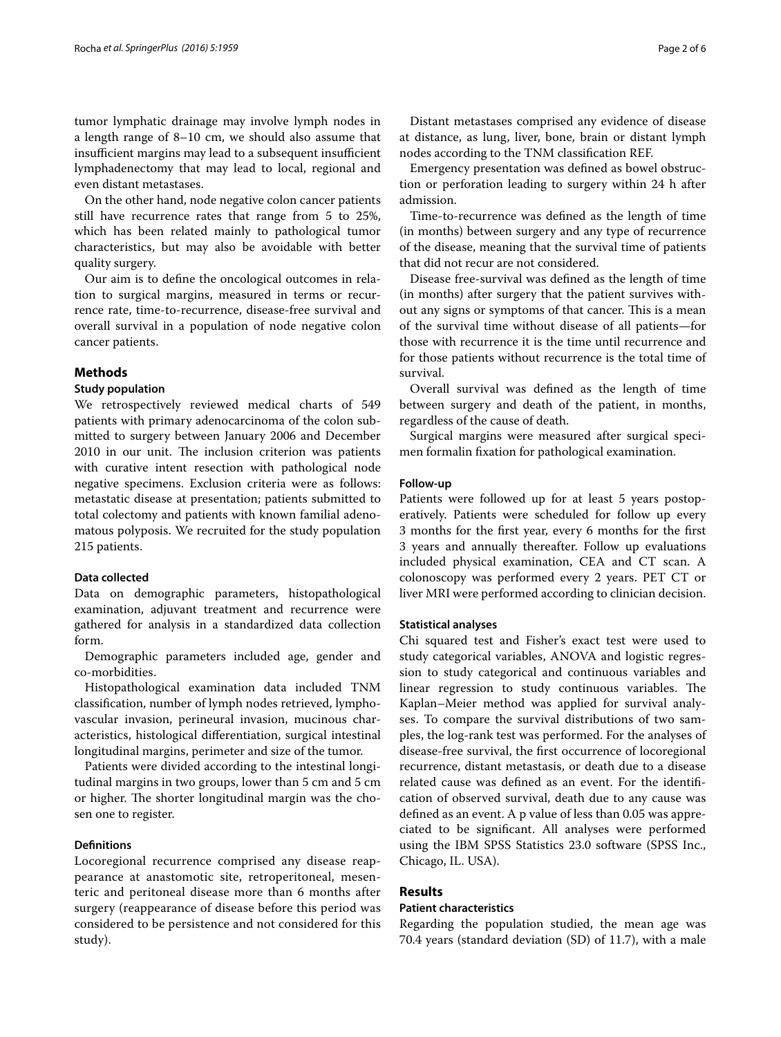tumor lymphatic drainage may involve lymph nodes in a length range of 8–10 cm, we should also assume that insufficient margins may lead to a subsequent insufficient lymphadenectomy that may lead to local, regional and even distant metastases.

On the other hand, node negative colon cancer patients still have recurrence rates that range from 5 to 25%, which has been related mainly to pathological tumor characteristics, but may also be avoidable with better quality surgery.

Our aim is to define the oncological outcomes in relation to surgical margins, measured in terms or recurrence rate, time-to-recurrence, disease-free survival and overall survival in a population of node negative colon cancer patients.

### **Methods**

#### **Study population**

We retrospectively reviewed medical charts of 549 patients with primary adenocarcinoma of the colon submitted to surgery between January 2006 and December 2010 in our unit. The inclusion criterion was patients with curative intent resection with pathological node negative specimens. Exclusion criteria were as follows: metastatic disease at presentation; patients submitted to total colectomy and patients with known familial adenomatous polyposis. We recruited for the study population 215 patients.

#### **Data collected**

Data on demographic parameters, histopathological examination, adjuvant treatment and recurrence were gathered for analysis in a standardized data collection form.

Demographic parameters included age, gender and co-morbidities.

Histopathological examination data included TNM classification, number of lymph nodes retrieved, lymphovascular invasion, perineural invasion, mucinous characteristics, histological differentiation, surgical intestinal longitudinal margins, perimeter and size of the tumor.

Patients were divided according to the intestinal longitudinal margins in two groups, lower than 5 cm and 5 cm or higher. The shorter longitudinal margin was the chosen one to register.

## **Definitions**

Locoregional recurrence comprised any disease reappearance at anastomotic site, retroperitoneal, mesenteric and peritoneal disease more than 6 months after surgery (reappearance of disease before this period was considered to be persistence and not considered for this study).

Distant metastases comprised any evidence of disease at distance, as lung, liver, bone, brain or distant lymph nodes according to the TNM classification REF.

Emergency presentation was defined as bowel obstruction or perforation leading to surgery within 24 h after admission.

Time-to-recurrence was defined as the length of time (in months) between surgery and any type of recurrence of the disease, meaning that the survival time of patients that did not recur are not considered.

Disease free-survival was defined as the length of time (in months) after surgery that the patient survives without any signs or symptoms of that cancer. This is a mean of the survival time without disease of all patients—for those with recurrence it is the time until recurrence and for those patients without recurrence is the total time of survival.

Overall survival was defined as the length of time between surgery and death of the patient, in months, regardless of the cause of death.

Surgical margins were measured after surgical specimen formalin fixation for pathological examination.

#### **Follow‑up**

Patients were followed up for at least 5 years postoperatively. Patients were scheduled for follow up every 3 months for the first year, every 6 months for the first 3 years and annually thereafter. Follow up evaluations included physical examination, CEA and CT scan. A colonoscopy was performed every 2 years. PET CT or liver MRI were performed according to clinician decision.

#### **Statistical analyses**

Chi squared test and Fisher's exact test were used to study categorical variables, ANOVA and logistic regression to study categorical and continuous variables and linear regression to study continuous variables. The Kaplan–Meier method was applied for survival analyses. To compare the survival distributions of two samples, the log-rank test was performed. For the analyses of disease-free survival, the first occurrence of locoregional recurrence, distant metastasis, or death due to a disease related cause was defined as an event. For the identification of observed survival, death due to any cause was defined as an event. A p value of less than 0.05 was appreciated to be significant. All analyses were performed using the IBM SPSS Statistics 23.0 software (SPSS Inc., Chicago, IL. USA).

## **Results**

#### **Patient characteristics**

Regarding the population studied, the mean age was 70.4 years (standard deviation (SD) of 11.7), with a male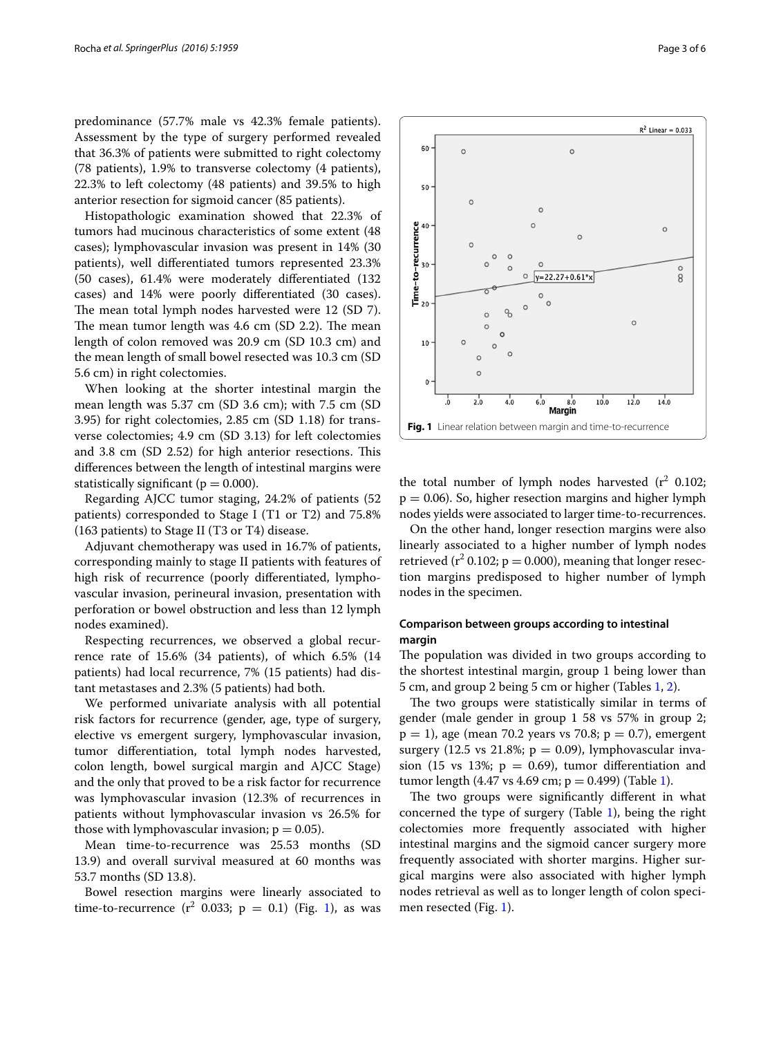predominance (57.7% male vs 42.3% female patients). Assessment by the type of surgery performed revealed that 36.3% of patients were submitted to right colectomy (78 patients), 1.9% to transverse colectomy (4 patients), 22.3% to left colectomy (48 patients) and 39.5% to high anterior resection for sigmoid cancer (85 patients).

Histopathologic examination showed that 22.3% of tumors had mucinous characteristics of some extent (48 cases); lymphovascular invasion was present in 14% (30 patients), well differentiated tumors represented 23.3% (50 cases), 61.4% were moderately differentiated (132 cases) and 14% were poorly differentiated (30 cases). The mean total lymph nodes harvested were 12 (SD 7). The mean tumor length was 4.6 cm (SD 2.2). The mean length of colon removed was 20.9 cm (SD 10.3 cm) and the mean length of small bowel resected was 10.3 cm (SD 5.6 cm) in right colectomies.

When looking at the shorter intestinal margin the mean length was 5.37 cm (SD 3.6 cm); with 7.5 cm (SD 3.95) for right colectomies, 2.85 cm (SD 1.18) for transverse colectomies; 4.9 cm (SD 3.13) for left colectomies and 3.8 cm (SD 2.52) for high anterior resections. This differences between the length of intestinal margins were statistically significant ( $p = 0.000$ ).

Regarding AJCC tumor staging, 24.2% of patients (52 patients) corresponded to Stage I (T1 or T2) and 75.8% (163 patients) to Stage II (T3 or T4) disease.

Adjuvant chemotherapy was used in 16.7% of patients, corresponding mainly to stage II patients with features of high risk of recurrence (poorly differentiated, lymphovascular invasion, perineural invasion, presentation with perforation or bowel obstruction and less than 12 lymph nodes examined).

Respecting recurrences, we observed a global recurrence rate of 15.6% (34 patients), of which 6.5% (14 patients) had local recurrence, 7% (15 patients) had distant metastases and 2.3% (5 patients) had both.

We performed univariate analysis with all potential risk factors for recurrence (gender, age, type of surgery, elective vs emergent surgery, lymphovascular invasion, tumor differentiation, total lymph nodes harvested, colon length, bowel surgical margin and AJCC Stage) and the only that proved to be a risk factor for recurrence was lymphovascular invasion (12.3% of recurrences in patients without lymphovascular invasion vs 26.5% for those with lymphovascular invasion;  $p = 0.05$ ).

Mean time-to-recurrence was 25.53 months (SD 13.9) and overall survival measured at 60 months was 53.7 months (SD 13.8).

Bowel resection margins were linearly associated to time-to-recurrence  $(r^2 \t0.033; p = 0.1)$  $(r^2 \t0.033; p = 0.1)$  (Fig. 1), as was

<span id="page-2-0"></span>

On the other hand, longer resection margins were also linearly associated to a higher number of lymph nodes retrieved ( $r^2$  0.102;  $p = 0.000$ ), meaning that longer resection margins predisposed to higher number of lymph nodes in the specimen.

## **Comparison between groups according to intestinal margin**

The population was divided in two groups according to the shortest intestinal margin, group 1 being lower than 5 cm, and group 2 being 5 cm or higher (Tables [1](#page-3-0), [2\)](#page-3-1).

The two groups were statistically similar in terms of gender (male gender in group 1 58 vs 57% in group 2;  $p = 1$ ), age (mean 70.2 years vs 70.8;  $p = 0.7$ ), emergent surgery (12.5 vs 21.8%;  $p = 0.09$ ), lymphovascular invasion (15 vs 13%;  $p = 0.69$ ), tumor differentiation and tumor length (4.47 vs 4.69 cm;  $p = 0.499$ ) (Table [1](#page-3-0)).

The two groups were significantly different in what concerned the type of surgery (Table [1\)](#page-3-0), being the right colectomies more frequently associated with higher intestinal margins and the sigmoid cancer surgery more frequently associated with shorter margins. Higher surgical margins were also associated with higher lymph nodes retrieval as well as to longer length of colon specimen resected (Fig. [1\)](#page-2-0).

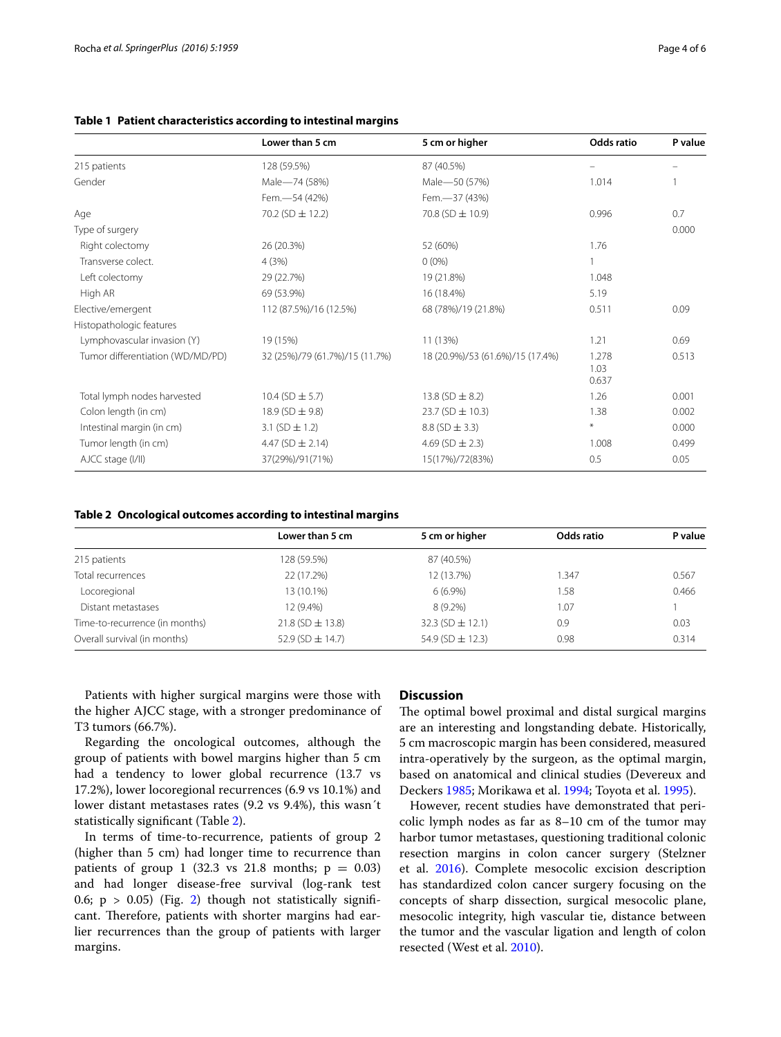<span id="page-3-0"></span>

|                                  | Lower than 5 cm                | 5 cm or higher                   | Odds ratio             | P value |
|----------------------------------|--------------------------------|----------------------------------|------------------------|---------|
| 215 patients                     | 128 (59.5%)                    | 87 (40.5%)                       |                        |         |
| Gender                           | Male-74 (58%)                  | Male-50 (57%)                    | 1.014                  |         |
|                                  | Fem.-54 (42%)                  | Fem.-37 (43%)                    |                        |         |
| Age                              | 70.2 (SD $\pm$ 12.2)           | 70.8 (SD $\pm$ 10.9)             | 0.996                  | 0.7     |
| Type of surgery                  |                                |                                  |                        | 0.000   |
| Right colectomy                  | 26 (20.3%)                     | 52 (60%)                         | 1.76                   |         |
| Transverse colect.               | 4(3%)                          | $0(0\%)$                         |                        |         |
| Left colectomy                   | 29 (22.7%)                     | 19 (21.8%)                       | 1.048                  |         |
| High AR                          | 69 (53.9%)                     | 16 (18.4%)                       | 5.19                   |         |
| Elective/emergent                | 112 (87.5%)/16 (12.5%)         | 68 (78%)/19 (21.8%)              | 0.511                  | 0.09    |
| Histopathologic features         |                                |                                  |                        |         |
| Lymphovascular invasion (Y)      | 19 (15%)                       | 11 (13%)                         | 1.21                   | 0.69    |
| Tumor differentiation (WD/MD/PD) | 32 (25%)/79 (61.7%)/15 (11.7%) | 18 (20.9%)/53 (61.6%)/15 (17.4%) | 1.278<br>1.03<br>0.637 | 0.513   |
| Total lymph nodes harvested      | $10.4$ (SD $\pm$ 5.7)          | 13.8 (SD $\pm$ 8.2)              | 1.26                   | 0.001   |
| Colon length (in cm)             | 18.9 (SD $\pm$ 9.8)            | 23.7 (SD $\pm$ 10.3)             | 1.38                   | 0.002   |
| Intestinal margin (in cm)        | 3.1 (SD $\pm$ 1.2)             | $8.8$ (SD $\pm$ 3.3)             | $\ast$                 | 0.000   |
| Tumor length (in cm)             | 4.47 (SD $\pm$ 2.14)           | 4.69 (SD $\pm$ 2.3)              | 1.008                  | 0.499   |
| AJCC stage (I/II)                | 37(29%)/91(71%)                | 15(17%)/72(83%)                  | 0.5                    | 0.05    |

#### <span id="page-3-1"></span>**Table 2 Oncological outcomes according to intestinal margins**

|                                | Lower than 5 cm        | 5 cm or higher         | Odds ratio | P value |
|--------------------------------|------------------------|------------------------|------------|---------|
| 215 patients                   | 128 (59.5%)            | 87 (40.5%)             |            |         |
| Total recurrences              | 22 (17.2%)             | 12 (13.7%)             | 1.347      | 0.567   |
| Locoregional                   | 13 (10.1%)             | $6(6.9\%)$             | 1.58       | 0.466   |
| Distant metastases             | 12 (9.4%)              | $8(9.2\%)$             | 1.07       |         |
| Time-to-recurrence (in months) | $21.8$ (SD $\pm$ 13.8) | $32.3$ (SD $\pm$ 12.1) | 0.9        | 0.03    |
| Overall survival (in months)   | 52.9 (SD $\pm$ 14.7)   | 54.9 (SD $\pm$ 12.3)   | 0.98       | 0.314   |

Patients with higher surgical margins were those with the higher AJCC stage, with a stronger predominance of T3 tumors (66.7%).

Regarding the oncological outcomes, although the group of patients with bowel margins higher than 5 cm had a tendency to lower global recurrence (13.7 vs 17.2%), lower locoregional recurrences (6.9 vs 10.1%) and lower distant metastases rates (9.2 vs 9.4%), this wasn´t statistically significant (Table [2](#page-3-1)).

In terms of time-to-recurrence, patients of group 2 (higher than 5 cm) had longer time to recurrence than patients of group 1 (32.3 vs 21.8 months;  $p = 0.03$ ) and had longer disease-free survival (log-rank test 0.6;  $p > 0.05$ ) (Fig. [2](#page-4-0)) though not statistically significant. Therefore, patients with shorter margins had earlier recurrences than the group of patients with larger margins.

## **Discussion**

The optimal bowel proximal and distal surgical margins are an interesting and longstanding debate. Historically, 5 cm macroscopic margin has been considered, measured intra-operatively by the surgeon, as the optimal margin, based on anatomical and clinical studies (Devereux and Deckers [1985;](#page-5-1) Morikawa et al. [1994](#page-5-2); Toyota et al. [1995\)](#page-5-3).

However, recent studies have demonstrated that pericolic lymph nodes as far as 8–10 cm of the tumor may harbor tumor metastases, questioning traditional colonic resection margins in colon cancer surgery (Stelzner et al. [2016\)](#page-5-6). Complete mesocolic excision description has standardized colon cancer surgery focusing on the concepts of sharp dissection, surgical mesocolic plane, mesocolic integrity, high vascular tie, distance between the tumor and the vascular ligation and length of colon resected (West et al. [2010](#page-5-7)).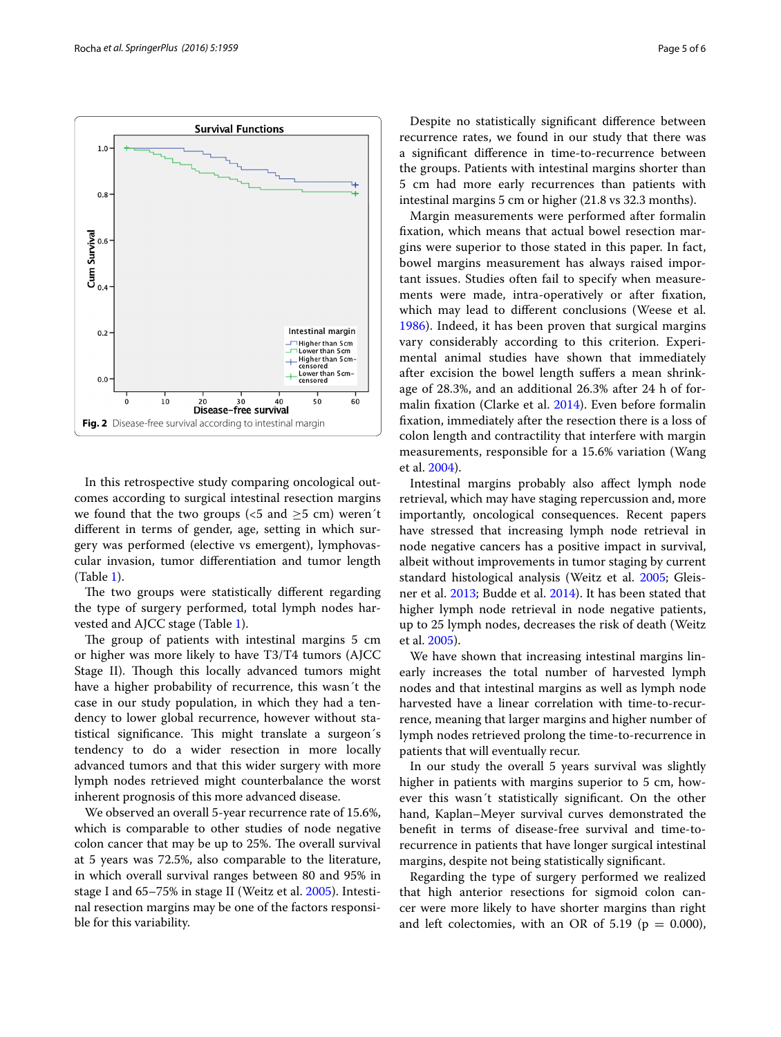

<span id="page-4-0"></span>In this retrospective study comparing oncological outcomes according to surgical intestinal resection margins we found that the two groups ( $<5$  and  $\geq$ 5 cm) weren't different in terms of gender, age, setting in which surgery was performed (elective vs emergent), lymphovascular invasion, tumor differentiation and tumor length (Table [1](#page-3-0)).

The two groups were statistically different regarding the type of surgery performed, total lymph nodes harvested and AJCC stage (Table [1](#page-3-0)).

The group of patients with intestinal margins 5 cm or higher was more likely to have T3/T4 tumors (AJCC Stage II). Though this locally advanced tumors might have a higher probability of recurrence, this wasn´t the case in our study population, in which they had a tendency to lower global recurrence, however without statistical significance. This might translate a surgeon´s tendency to do a wider resection in more locally advanced tumors and that this wider surgery with more lymph nodes retrieved might counterbalance the worst inherent prognosis of this more advanced disease.

We observed an overall 5-year recurrence rate of 15.6%, which is comparable to other studies of node negative colon cancer that may be up to 25%. The overall survival at 5 years was 72.5%, also comparable to the literature, in which overall survival ranges between 80 and 95% in stage I and 65–75% in stage II (Weitz et al. [2005\)](#page-5-8). Intestinal resection margins may be one of the factors responsible for this variability.

Despite no statistically significant difference between recurrence rates, we found in our study that there was a significant difference in time-to-recurrence between the groups. Patients with intestinal margins shorter than 5 cm had more early recurrences than patients with intestinal margins 5 cm or higher (21.8 vs 32.3 months).

Margin measurements were performed after formalin fixation, which means that actual bowel resection margins were superior to those stated in this paper. In fact, bowel margins measurement has always raised important issues. Studies often fail to specify when measurements were made, intra-operatively or after fixation, which may lead to different conclusions (Weese et al. [1986\)](#page-5-9). Indeed, it has been proven that surgical margins vary considerably according to this criterion. Experimental animal studies have shown that immediately after excision the bowel length suffers a mean shrinkage of 28.3%, and an additional 26.3% after 24 h of formalin fixation (Clarke et al. [2014](#page-5-10)). Even before formalin fixation, immediately after the resection there is a loss of colon length and contractility that interfere with margin measurements, responsible for a 15.6% variation (Wang et al. [2004\)](#page-5-11).

Intestinal margins probably also affect lymph node retrieval, which may have staging repercussion and, more importantly, oncological consequences. Recent papers have stressed that increasing lymph node retrieval in node negative cancers has a positive impact in survival, albeit without improvements in tumor staging by current standard histological analysis (Weitz et al. [2005;](#page-5-8) Gleisner et al. [2013](#page-5-12); Budde et al. [2014](#page-5-13)). It has been stated that higher lymph node retrieval in node negative patients, up to 25 lymph nodes, decreases the risk of death (Weitz et al. [2005](#page-5-8)).

We have shown that increasing intestinal margins linearly increases the total number of harvested lymph nodes and that intestinal margins as well as lymph node harvested have a linear correlation with time-to-recurrence, meaning that larger margins and higher number of lymph nodes retrieved prolong the time-to-recurrence in patients that will eventually recur.

In our study the overall 5 years survival was slightly higher in patients with margins superior to 5 cm, however this wasn´t statistically significant. On the other hand, Kaplan–Meyer survival curves demonstrated the benefit in terms of disease-free survival and time-torecurrence in patients that have longer surgical intestinal margins, despite not being statistically significant.

Regarding the type of surgery performed we realized that high anterior resections for sigmoid colon cancer were more likely to have shorter margins than right and left colectomies, with an OR of 5.19 ( $p = 0.000$ ),